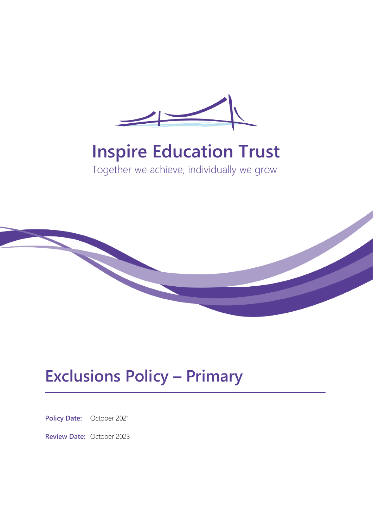

# **Inspire Education Trust**

Together we achieve, individually we grow



## **Exclusions Policy – Primary**

**Policy Date:** October 2021

**Review Date:** October 2023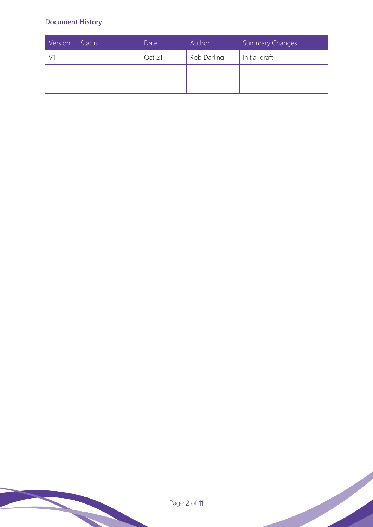## **Document History**

| Version | <b>Status</b> | Date   | Author      | <b>Summary Changes</b> |
|---------|---------------|--------|-------------|------------------------|
|         |               | Oct 21 | Rob Darling | Initial draft          |
|         |               |        |             |                        |
|         |               |        |             |                        |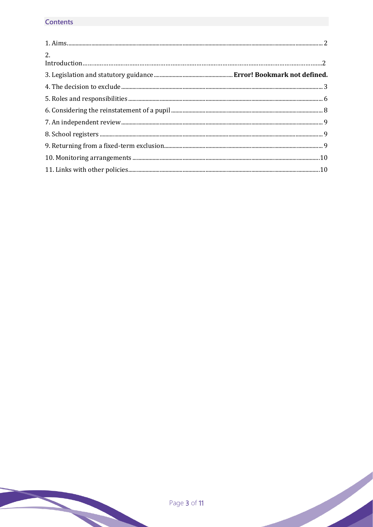## **Contents**

| 2. |  |
|----|--|
|    |  |
|    |  |
|    |  |
|    |  |
|    |  |
|    |  |
|    |  |
|    |  |
|    |  |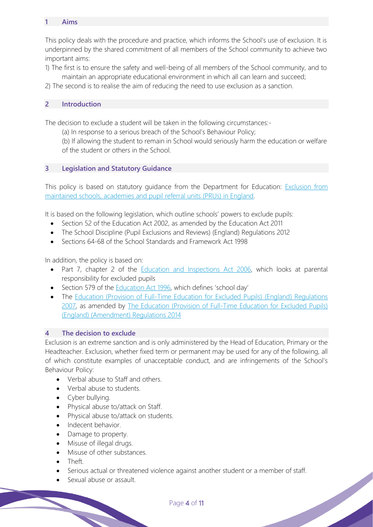#### **1 Aims**

This policy deals with the procedure and practice, which informs the School's use of exclusion. It is underpinned by the shared commitment of all members of the School community to achieve two important aims:

- 1) The first is to ensure the safety and well-being of all members of the School community, and to maintain an appropriate educational environment in which all can learn and succeed;
- 2) The second is to realise the aim of reducing the need to use exclusion as a sanction.

## **2 Introduction**

The decision to exclude a student will be taken in the following circumstances:-

(a) In response to a serious breach of the School's Behaviour Policy;

(b) If allowing the student to remain in School would seriously harm the education or welfare of the student or others in the School.

#### **3 Legislation and Statutory Guidance**

This policy is based on statutory guidance from the Department for Education: [Exclusion from](https://www.gov.uk/government/publications/school-exclusion)  [maintained schools, academies and pupil referral units \(PRUs\) in England.](https://www.gov.uk/government/publications/school-exclusion)

It is based on the following legislation, which outline schools' powers to exclude pupils:

- Section 52 of the [Education Act 2002,](http://www.legislation.gov.uk/ukpga/2002/32/section/52) as amended by the [Education Act 2011](http://www.legislation.gov.uk/ukpga/2011/21/contents/enacted)
- [The School Discipline \(Pupil Exclusions and Reviews\) \(England\) Regulations 2012](http://www.legislation.gov.uk/uksi/2012/1033/made)
- Sections 64-68 of the [School Standards and Framework Act 1998](http://www.legislation.gov.uk/ukpga/1998/31)

In addition, the policy is based on:

- Part 7, chapter 2 of the **Education and Inspections Act 2006**, which looks at parental responsibility for excluded pupils
- Section 579 of the [Education Act 1996](http://www.legislation.gov.uk/ukpga/1996/56/section/579), which defines 'school day'
- The Education (Provision of Full-Time Education for Excluded Pupils) (England) Regulations [2007,](http://www.legislation.gov.uk/uksi/2007/1870/contents/made) as amended by [The Education \(Provision of Full-Time Education for Excluded Pupils\)](http://www.legislation.gov.uk/uksi/2014/3216/contents/made)  [\(England\) \(Amendment\) Regulations 2014](http://www.legislation.gov.uk/uksi/2014/3216/contents/made)

#### **4 The decision to exclude**

Exclusion is an extreme sanction and is only administered by the Head of Education, Primary or the Headteacher. Exclusion, whether fixed term or permanent may be used for any of the following, all of which constitute examples of unacceptable conduct, and are infringements of the School's Behaviour Policy:

- Verbal abuse to Staff and others.
- Verbal abuse to students.
- Cyber bullying.
- Physical abuse to/attack on Staff.
- Physical abuse to/attack on students.
- Indecent behavior.
- Damage to property.
- Misuse of illegal drugs.
- Misuse of other substances.
- Theft.
- Serious actual or threatened violence against another student or a member of staff.
- Sexual abuse or assault.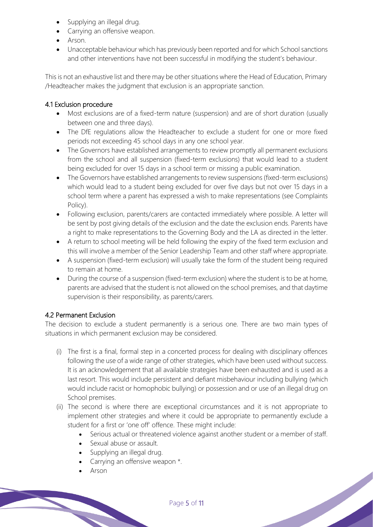- Supplying an illegal drug.
- Carrying an offensive weapon.
- Arson.
- Unacceptable behaviour which has previously been reported and for which School sanctions and other interventions have not been successful in modifying the student's behaviour.

This is not an exhaustive list and there may be other situations where the Head of Education, Primary /Headteacher makes the judgment that exclusion is an appropriate sanction.

## 4.1 Exclusion procedure

- Most exclusions are of a fixed-term nature (suspension) and are of short duration (usually between one and three days).
- The DfE regulations allow the Headteacher to exclude a student for one or more fixed periods not exceeding 45 school days in any one school year.
- The Governors have established arrangements to review promptly all permanent exclusions from the school and all suspension (fixed-term exclusions) that would lead to a student being excluded for over 15 days in a school term or missing a public examination.
- The Governors have established arrangements to review suspensions (fixed-term exclusions) which would lead to a student being excluded for over five days but not over 15 days in a school term where a parent has expressed a wish to make representations (see Complaints Policy).
- Following exclusion, parents/carers are contacted immediately where possible. A letter will be sent by post giving details of the exclusion and the date the exclusion ends. Parents have a right to make representations to the Governing Body and the LA as directed in the letter.
- A return to school meeting will be held following the expiry of the fixed term exclusion and this will involve a member of the Senior Leadership Team and other staff where appropriate.
- A suspension (fixed-term exclusion) will usually take the form of the student being required to remain at home.
- During the course of a suspension (fixed-term exclusion) where the student is to be at home, parents are advised that the student is not allowed on the school premises, and that daytime supervision is their responsibility, as parents/carers.

## 4.2 Permanent Exclusion

The decision to exclude a student permanently is a serious one. There are two main types of situations in which permanent exclusion may be considered.

- (i) The first is a final, formal step in a concerted process for dealing with disciplinary offences following the use of a wide range of other strategies, which have been used without success. It is an acknowledgement that all available strategies have been exhausted and is used as a last resort. This would include persistent and defiant misbehaviour including bullying (which would include racist or homophobic bullying) or possession and or use of an illegal drug on School premises.
- (ii) The second is where there are exceptional circumstances and it is not appropriate to implement other strategies and where it could be appropriate to permanently exclude a student for a first or 'one off' offence. These might include:
	- Serious actual or threatened violence against another student or a member of staff.

- Sexual abuse or assault.
- Supplying an illegal drug.
- Carrying an offensive weapon  $*$ .
- Arson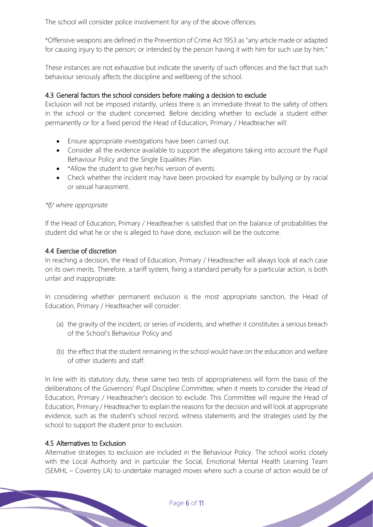The school will consider police involvement for any of the above offences.

\*Offensive weapons are defined in the Prevention of Crime Act 1953 as "any article made or adapted for causing injury to the person; or intended by the person having it with him for such use by him."

These instances are not exhaustive but indicate the severity of such offences and the fact that such behaviour seriously affects the discipline and wellbeing of the school.

#### 4.3 General factors the school considers before making a decision to exclude

Exclusion will not be imposed instantly, unless there is an immediate threat to the safety of others in the school or the student concerned. Before deciding whether to exclude a student either permanently or for a fixed period the Head of Education, Primary / Headteacher will:

- Ensure appropriate investigations have been carried out.
- Consider all the evidence available to support the allegations taking into account the Pupil Behaviour Policy and the Single Equalities Plan.
- \*Allow the student to give her/his version of events.
- Check whether the incident may have been provoked for example by bullying or by racial or sexual harassment.

#### *\*If/ where appropriate*

If the Head of Education, Primary / Headteacher is satisfied that on the balance of probabilities the student did what he or she is alleged to have done, exclusion will be the outcome.

#### 4.4 Exercise of discretion

In reaching a decision, the Head of Education, Primary / Headteacher will always look at each case on its own merits. Therefore, a tariff system, fixing a standard penalty for a particular action, is both unfair and inappropriate.

In considering whether permanent exclusion is the most appropriate sanction, the Head of Education, Primary / Headteacher will consider:

- (a) the gravity of the incident, or series of incidents, and whether it constitutes a serious breach of the School's Behaviour Policy and
- (b) the effect that the student remaining in the school would have on the education and welfare of other students and staff.

In line with its statutory duty, these same two tests of appropriateness will form the basis of the deliberations of the Governors' Pupil Discipline Committee, when it meets to consider the Head of Education, Primary / Headteacher's decision to exclude. This Committee will require the Head of Education, Primary / Headteacher to explain the reasons for the decision and will look at appropriate evidence, such as the student's school record, witness statements and the strategies used by the school to support the student prior to exclusion.

#### 4.5 Alternatives to Exclusion

Alternative strategies to exclusion are included in the Behaviour Policy. The school works closely with the Local Authority and in particular the Social, Emotional Mental Health Learning Team (SEMHL – Coventry LA) to undertake managed moves where such a course of action would be of<br>
Page 6 of 11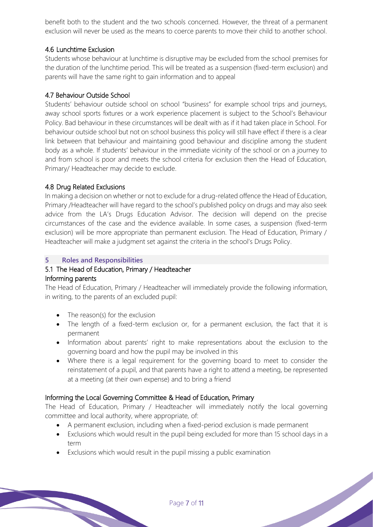benefit both to the student and the two schools concerned. However, the threat of a permanent exclusion will never be used as the means to coerce parents to move their child to another school.

#### 4.6 Lunchtime Exclusion

Students whose behaviour at lunchtime is disruptive may be excluded from the school premises for the duration of the lunchtime period. This will be treated as a suspension (fixed-term exclusion) and parents will have the same right to gain information and to appeal

#### 4.7 Behaviour Outside School

Students' behaviour outside school on school "business" for example school trips and journeys, away school sports fixtures or a work experience placement is subject to the School's Behaviour Policy. Bad behaviour in these circumstances will be dealt with as if it had taken place in School. For behaviour outside school but not on school business this policy will still have effect if there is a clear link between that behaviour and maintaining good behaviour and discipline among the student body as a whole. If students' behaviour in the immediate vicinity of the school or on a journey to and from school is poor and meets the school criteria for exclusion then the Head of Education, Primary/ Headteacher may decide to exclude.

#### 4.8 Drug Related Exclusions

In making a decision on whether or not to exclude for a drug-related offence the Head of Education, Primary /Headteacher will have regard to the school's published policy on drugs and may also seek advice from the LA's Drugs Education Advisor. The decision will depend on the precise circumstances of the case and the evidence available. In some cases, a suspension (fixed-term exclusion) will be more appropriate than permanent exclusion. The Head of Education, Primary / Headteacher will make a judgment set against the criteria in the school's Drugs Policy.

## **5 Roles and Responsibilities**

#### 5.1 The Head of Education, Primary / Headteacher Informing parents

The Head of Education, Primary / Headteacher will immediately provide the following information, in writing, to the parents of an excluded pupil:

- The reason(s) for the exclusion
- The length of a fixed-term exclusion or, for a permanent exclusion, the fact that it is permanent
- Information about parents' right to make representations about the exclusion to the governing board and how the pupil may be involved in this
- Where there is a legal requirement for the governing board to meet to consider the reinstatement of a pupil, and that parents have a right to attend a meeting, be represented at a meeting (at their own expense) and to bring a friend

## Informing the Local Governing Committee & Head of Education, Primary

The Head of Education, Primary / Headteacher will immediately notify the local governing committee and local authority, where appropriate, of:

- A permanent exclusion, including when a fixed-period exclusion is made permanent
- Exclusions which would result in the pupil being excluded for more than 15 school days in a term
- Exclusions which would result in the pupil missing a public examination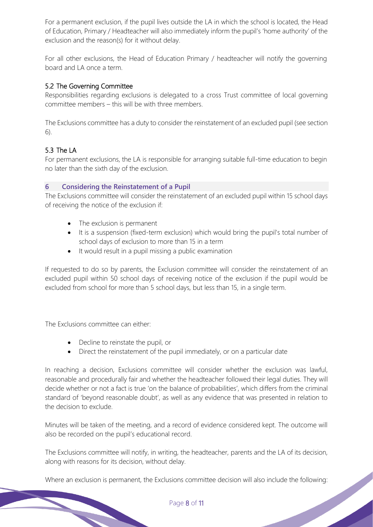For a permanent exclusion, if the pupil lives outside the LA in which the school is located, the Head of Education, Primary / Headteacher will also immediately inform the pupil's 'home authority' of the exclusion and the reason(s) for it without delay.

For all other exclusions, the Head of Education Primary / headteacher will notify the governing board and LA once a term.

#### 5.2 The Governing Committee

Responsibilities regarding exclusions is delegated to a cross Trust committee of local governing committee members – this will be with three members.

The Exclusions committee has a duty to consider the reinstatement of an excluded pupil (see section 6).

## 5.3 The LA

For permanent exclusions, the LA is responsible for arranging suitable full-time education to begin no later than the sixth day of the exclusion.

#### **6 Considering the Reinstatement of a Pupil**

The Exclusions committee will consider the reinstatement of an excluded pupil within 15 school days of receiving the notice of the exclusion if:

- The exclusion is permanent
- It is a suspension (fixed-term exclusion) which would bring the pupil's total number of school days of exclusion to more than 15 in a term
- It would result in a pupil missing a public examination

If requested to do so by parents, the Exclusion committee will consider the reinstatement of an excluded pupil within 50 school days of receiving notice of the exclusion if the pupil would be excluded from school for more than 5 school days, but less than 15, in a single term.

The Exclusions committee can either:

- Decline to reinstate the pupil, or
- Direct the reinstatement of the pupil immediately, or on a particular date

In reaching a decision, Exclusions committee will consider whether the exclusion was lawful, reasonable and procedurally fair and whether the headteacher followed their legal duties. They will decide whether or not a fact is true 'on the balance of probabilities', which differs from the criminal standard of 'beyond reasonable doubt', as well as any evidence that was presented in relation to the decision to exclude.

Minutes will be taken of the meeting, and a record of evidence considered kept. The outcome will also be recorded on the pupil's educational record.

The Exclusions committee will notify, in writing, the headteacher, parents and the LA of its decision, along with reasons for its decision, without delay.

Where an exclusion is permanent, the Exclusions committee decision will also include the following: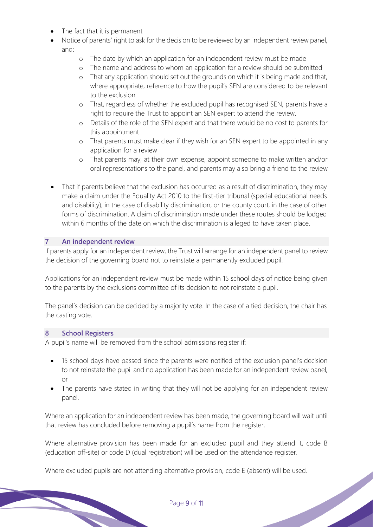- The fact that it is permanent
- Notice of parents' right to ask for the decision to be reviewed by an independent review panel, and:
	- o The date by which an application for an independent review must be made
	- o The name and address to whom an application for a review should be submitted
	- o That any application should set out the grounds on which it is being made and that, where appropriate, reference to how the pupil's SEN are considered to be relevant to the exclusion
	- o That, regardless of whether the excluded pupil has recognised SEN, parents have a right to require the Trust to appoint an SEN expert to attend the review.
	- o Details of the role of the SEN expert and that there would be no cost to parents for this appointment
	- o That parents must make clear if they wish for an SEN expert to be appointed in any application for a review
	- o That parents may, at their own expense, appoint someone to make written and/or oral representations to the panel, and parents may also bring a friend to the review
- That if parents believe that the exclusion has occurred as a result of discrimination, they may make a claim under the Equality Act 2010 to the first-tier tribunal (special educational needs and disability), in the case of disability discrimination, or the county court, in the case of other forms of discrimination. A claim of discrimination made under these routes should be lodged within 6 months of the date on which the discrimination is alleged to have taken place.

#### **7 An independent review**

If parents apply for an independent review, the Trust will arrange for an independent panel to review the decision of the governing board not to reinstate a permanently excluded pupil.

Applications for an independent review must be made within 15 school days of notice being given to the parents by the exclusions committee of its decision to not reinstate a pupil.

The panel's decision can be decided by a majority vote. In the case of a tied decision, the chair has the casting vote.

#### **8 School Registers**

A pupil's name will be removed from the school admissions register if:

- 15 school days have passed since the parents were notified of the exclusion panel's decision to not reinstate the pupil and no application has been made for an independent review panel, or
- The parents have stated in writing that they will not be applying for an independent review panel.

Where an application for an independent review has been made, the governing board will wait until that review has concluded before removing a pupil's name from the register.

Where alternative provision has been made for an excluded pupil and they attend it, code B (education off-site) or code D (dual registration) will be used on the attendance register.

Where excluded pupils are not attending alternative provision, code E (absent) will be used.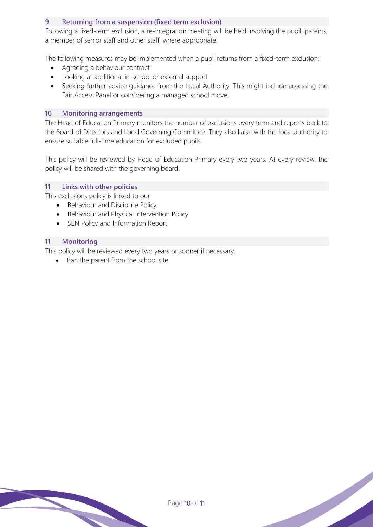#### **9 Returning from a suspension (fixed term exclusion)**

Following a fixed-term exclusion, a re-integration meeting will be held involving the pupil, parents, a member of senior staff and other staff, where appropriate.

The following measures may be implemented when a pupil returns from a fixed-term exclusion:

- Agreeing a behaviour contract
- Looking at additional in-school or external support
- Seeking further advice guidance from the Local Authority. This might include accessing the Fair Access Panel or considering a managed school move.

#### **10 Monitoring arrangements**

The Head of Education Primary monitors the number of exclusions every term and reports back to the Board of Directors and Local Governing Committee. They also liaise with the local authority to ensure suitable full-time education for excluded pupils.

This policy will be reviewed by Head of Education Primary every two years. At every review, the policy will be shared with the governing board.

#### **11 Links with other policies**

This exclusions policy is linked to our

- Behaviour and Discipline Policy
- Behaviour and Physical Intervention Policy
- SEN Policy and Information Report

#### **11 Monitoring**

This policy will be reviewed every two years or sooner if necessary.

• Ban the parent from the school site